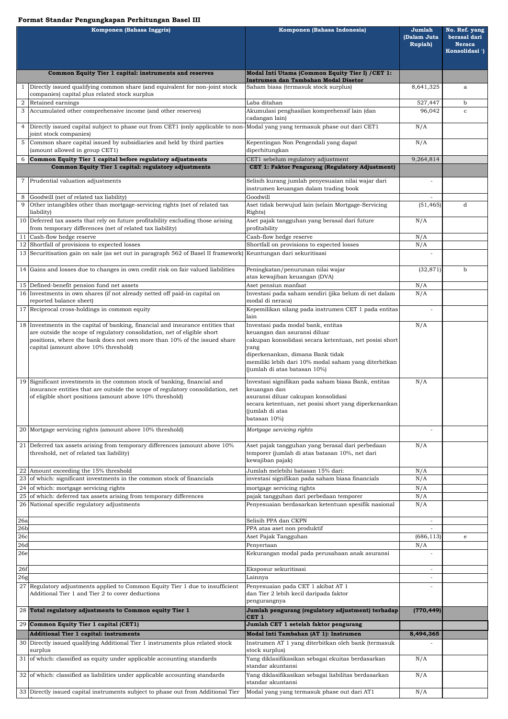## **Format Standar Pengungkapan Perhitungan Basel III**

| Komponen (Bahasa Inggris) |                                                                                                                                                                                                              | Komponen (Bahasa Indonesia)                                                                                                     | Jumlah<br>(Dalam Juta<br><b>Rupiah</b> ) | No. Ref. yang<br>berasal dari<br><b>Neraca</b><br>Konsolidasi <sup>1</sup> ) |
|---------------------------|--------------------------------------------------------------------------------------------------------------------------------------------------------------------------------------------------------------|---------------------------------------------------------------------------------------------------------------------------------|------------------------------------------|------------------------------------------------------------------------------|
|                           | Common Equity Tier 1 capital: instruments and reserves                                                                                                                                                       | Modal Inti Utama (Common Equity Tier I) / CET 1:                                                                                |                                          |                                                                              |
|                           | Instrumen dan Tambahan Modal Disetor<br>Directly issued qualifying common share (and equivalent for non-joint stock<br>Saham biasa (termasuk stock surplus)<br>companies) capital plus related stock surplus |                                                                                                                                 | 8,641,325                                | a                                                                            |
| $\overline{2}$            | Retained earnings                                                                                                                                                                                            | Laba ditahan                                                                                                                    | 527,447                                  | $\mathbf b$                                                                  |
| 3                         | Accumulated other comprehensive income (and other reserves)                                                                                                                                                  | Akumulasi penghasilan komprehensif lain (dan<br>cadangan lain)                                                                  | 96,042                                   | $\mathbf{C}$                                                                 |
| 4                         | Directly issued capital subject to phase out from CET1 (only applicable to non-Modal yang yang termasuk phase out dari CET1<br>joint stock companies)                                                        |                                                                                                                                 | N/A                                      |                                                                              |
| 5                         | Common share capital issued by subsidiaries and held by third parties<br>(amount allowed in group CET1)                                                                                                      | Kepentingan Non Pengendali yang dapat<br>diperhitungkan                                                                         | N/A                                      |                                                                              |
|                           | Common Equity Tier 1 capital before regulatory adjustments<br>Common Equity Tier 1 capital: regulatory adjustments                                                                                           | CET1 sebelum regulatory adjustment<br>CET 1: Faktor Pengurang (Regulatory Adjustment)                                           | 9,264,814                                |                                                                              |
| 7                         | Prudential valuation adjustments                                                                                                                                                                             | Selisih kurang jumlah penyesuaian nilai wajar dari<br>instrumen keuangan dalam trading book                                     |                                          |                                                                              |
| 8                         | Goodwill (net of related tax liability)                                                                                                                                                                      | Goodwill                                                                                                                        |                                          |                                                                              |
| 9                         | Other intangibles other than mortgage-servicing rights (net of related tax<br>liability)                                                                                                                     | Aset tidak berwujud lain (selain Mortgage-Servicing<br>Rights)                                                                  | (51, 465)                                | d                                                                            |
|                           | 10 Deferred tax assets that rely on future profitability excluding those arising<br>from temporary differences (net of related tax liability)                                                                | Aset pajak tangguhan yang berasal dari future<br>profitability                                                                  | N/A                                      |                                                                              |
|                           | 11 Cash-flow hedge reserve                                                                                                                                                                                   | Cash-flow hedge reserve                                                                                                         | N/A                                      |                                                                              |
|                           | 12 Shortfall of provisions to expected losses                                                                                                                                                                | Shortfall on provisions to expected losses                                                                                      | N/A                                      |                                                                              |
|                           | 13 Securitisation gain on sale (as set out in paragraph 562 of Basel II framework) Keuntungan dari sekuritisasi                                                                                              |                                                                                                                                 |                                          |                                                                              |
|                           | 14 Gains and losses due to changes in own credit risk on fair valued liabilities                                                                                                                             | Peningkatan/penurunan nilai wajar<br>atas kewajiban keuangan (DVA)                                                              | (32, 871)                                | b                                                                            |
|                           | 15 Defined-benefit pension fund net assets<br>16 Investments in own shares (if not already netted off paid-in capital on                                                                                     | Aset pensiun manfaat<br>Investasi pada saham sendiri (jika belum di net dalam                                                   | N/A<br>N/A                               |                                                                              |
|                           | 17 Reciprocal cross-holdings in common equity                                                                                                                                                                | reported balance sheet)<br>modal di neraca)<br>Kepemilikan silang pada instrumen CET 1 pada entitas                             |                                          |                                                                              |
|                           | 18 Investments in the capital of banking, financial and insurance entities that                                                                                                                              | lain<br>Investasi pada modal bank, entitas                                                                                      | N/A                                      |                                                                              |
|                           | are outside the scope of regulatory consolidation, net of eligible short<br>positions, where the bank does not own more than 10% of the issued share<br>capital (amount above 10% threshold)                 | keuangan dan asuransi diluar<br>cakupan konsolidasi secara ketentuan, net posisi short<br>yang                                  |                                          |                                                                              |
|                           |                                                                                                                                                                                                              | diperkenankan, dimana Bank tidak<br>memiliki lebih dari 10% modal saham yang diterbitkan<br>(jumlah di atas batasan 10%)        |                                          |                                                                              |
|                           | 19 Significant investments in the common stock of banking, financial and<br>insurance entities that are outside the scope of regulatory consolidation, net                                                   | Investasi signifikan pada saham biasa Bank, entitas<br>keuangan dan                                                             | N/A                                      |                                                                              |
|                           | of eligible short positions (amount above 10% threshold)                                                                                                                                                     | asuransi diluar cakupan konsolidasi<br>secara ketentuan, net posisi short yang diperkenankan<br>(jumlah di atas<br>batasan 10%) |                                          |                                                                              |
|                           | 20 Mortgage servicing rights (amount above 10% threshold)                                                                                                                                                    | Mortgage servicing rights                                                                                                       |                                          |                                                                              |
| 21                        | Deferred tax assets arising from temporary differences (amount above 10%)<br>threshold, net of related tax liability)                                                                                        | Aset pajak tangguhan yang berasal dari perbedaan<br>temporer (jumlah di atas batasan 10%, net dari<br>kewajiban pajak)          | N/A                                      |                                                                              |
|                           | 22 Amount exceeding the 15% threshold                                                                                                                                                                        | Jumlah melebihi batasan 15% dari:                                                                                               | N/A                                      |                                                                              |
|                           | 23 of which: significant investments in the common stock of financials                                                                                                                                       | investasi signifikan pada saham biasa financials                                                                                | N/A                                      |                                                                              |
|                           | 24 of which: mortgage servicing rights<br>25 of which: deferred tax assets arising from temporary differences                                                                                                | mortgage servicing rights                                                                                                       | N/A                                      |                                                                              |
|                           | 26 National specific regulatory adjustments                                                                                                                                                                  | pajak tangguhan dari perbedaan temporer<br>Penyesuaian berdasarkan ketentuan spesifik nasional                                  | N/A<br>N/A                               |                                                                              |
| 26a                       |                                                                                                                                                                                                              | Selisih PPA dan CKPN                                                                                                            |                                          |                                                                              |
| 26 <sub>b</sub>           |                                                                                                                                                                                                              | PPA atas aset non produktif                                                                                                     |                                          |                                                                              |
| 26c<br>26d                |                                                                                                                                                                                                              | Aset Pajak Tangguhan<br>Penyertaan                                                                                              | (686, 113)<br>N/A                        | e                                                                            |
| 26e                       |                                                                                                                                                                                                              | Kekurangan modal pada perusahaan anak asuransi                                                                                  |                                          |                                                                              |
| 26f<br>26 <sub>g</sub>    |                                                                                                                                                                                                              | Eksposur sekuritisasi<br>Lainnya                                                                                                |                                          |                                                                              |
|                           | 27 Regulatory adjustments applied to Common Equity Tier 1 due to insufficient<br>Additional Tier 1 and Tier 2 to cover deductions                                                                            | Penyesuaian pada CET 1 akibat AT 1<br>dan Tier 2 lebih kecil daripada faktor<br>pengurangnya                                    |                                          |                                                                              |
|                           | 28 Total regulatory adjustments to Common equity Tier 1                                                                                                                                                      | Jumlah pengurang (regulatory adjustment) terhadap<br>CET <sub>1</sub>                                                           | (770, 449)                               |                                                                              |
|                           | 29 Common Equity Tier 1 capital (CET1)                                                                                                                                                                       | Jumlah CET 1 setelah faktor pengurang                                                                                           |                                          |                                                                              |
|                           | Additional Tier 1 capital: instruments                                                                                                                                                                       | Modal Inti Tambahan (AT 1): Instrumen                                                                                           | 8,494,365                                |                                                                              |
|                           | 30 Directly issued qualifying Additional Tier 1 instruments plus related stock<br>surplus                                                                                                                    | Instrumen AT 1 yang diterbitkan oleh bank (termasuk<br>stock surplus)                                                           |                                          |                                                                              |
|                           | 31 of which: classified as equity under applicable accounting standards                                                                                                                                      | Yang diklasifikasikan sebagai ekuitas berdasarkan<br>standar akuntansi                                                          | N/A                                      |                                                                              |
|                           | 32 of which: classified as liabilities under applicable accounting standards                                                                                                                                 | Yang diklasifikasikan sebagai liabilitas berdasarkan<br>standar akuntansi                                                       | N/A                                      |                                                                              |
|                           | 33 Directly issued capital instruments subject to phase out from Additional Tier                                                                                                                             | Modal yang yang termasuk phase out dari AT1                                                                                     | N/A                                      |                                                                              |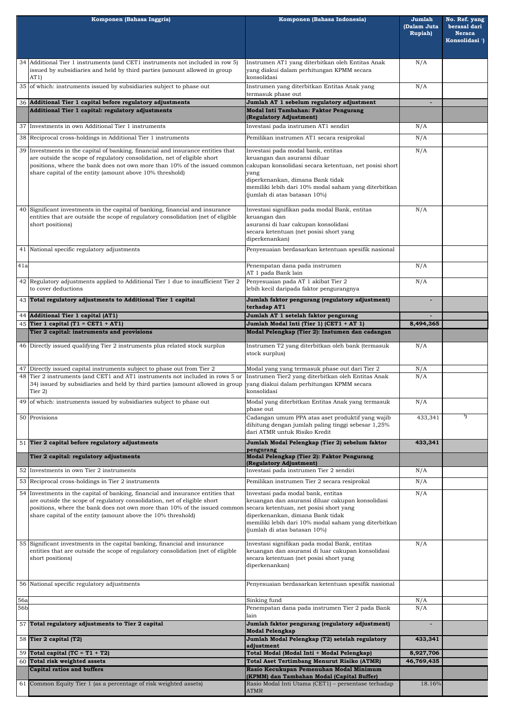|     | Komponen (Bahasa Inggris)                                                                                                                                                                                                                                                                            | Komponen (Bahasa Indonesia)                                                                                                                                                                                                                                      | Jumlah<br>(Dalam Juta<br><b>Rupiah</b> ) | No. Ref. yang<br>berasal dari<br><b>Neraca</b><br>Konsolidasi <sup>1</sup> ) |
|-----|------------------------------------------------------------------------------------------------------------------------------------------------------------------------------------------------------------------------------------------------------------------------------------------------------|------------------------------------------------------------------------------------------------------------------------------------------------------------------------------------------------------------------------------------------------------------------|------------------------------------------|------------------------------------------------------------------------------|
|     | 34 Additional Tier 1 instruments (and CET1 instruments not included in row 5)<br>issued by subsidiaries and held by third parties (amount allowed in group<br>AT1)                                                                                                                                   | Instrumen AT1 yang diterbitkan oleh Entitas Anak<br>yang diakui dalam perhitungan KPMM secara<br>konsolidasi                                                                                                                                                     | N/A                                      |                                                                              |
|     | 35 of which: instruments issued by subsidiaries subject to phase out                                                                                                                                                                                                                                 | Instrumen yang diterbitkan Entitas Anak yang<br>termasuk phase out                                                                                                                                                                                               | N/A                                      |                                                                              |
|     | 36 Additional Tier 1 capital before regulatory adjustments                                                                                                                                                                                                                                           | Jumlah AT 1 sebelum regulatory adjustment                                                                                                                                                                                                                        | ٠                                        |                                                                              |
|     | Additional Tier 1 capital: regulatory adjustments                                                                                                                                                                                                                                                    | Modal Inti Tambahan: Faktor Pengurang<br>(Regulatory Adjustment)                                                                                                                                                                                                 |                                          |                                                                              |
|     | 37 Investments in own Additional Tier 1 instruments                                                                                                                                                                                                                                                  | Investasi pada instrumen AT1 sendiri                                                                                                                                                                                                                             | N/A                                      |                                                                              |
|     | 38 Reciprocal cross-holdings in Additional Tier 1 instruments                                                                                                                                                                                                                                        | Pemilikan instrumen AT1 secara resiprokal                                                                                                                                                                                                                        | N/A                                      |                                                                              |
|     | 39 Investments in the capital of banking, financial and insurance entities that<br>are outside the scope of regulatory consolidation, net of eligible short<br>positions, where the bank does not own more than 10% of the issued common<br>share capital of the entity (amount above 10% threshold) | Investasi pada modal bank, entitas<br>keuangan dan asuransi diluar<br>cakupan konsolidasi secara ketentuan, net posisi short<br>yang<br>diperkenankan, dimana Bank tidak<br>memiliki lebih dari 10% modal saham yang diterbitkan<br>(jumlah di atas batasan 10%) | N/A                                      |                                                                              |
|     | 40 Significant investments in the capital of banking, financial and insurance<br>entities that are outside the scope of regulatory consolidation (net of eligible<br>short positions)                                                                                                                | Investasi signifikan pada modal Bank, entitas<br>keuangan dan<br>asuransi di luar cakupan konsolidasi<br>secara ketentuan (net posisi short yang<br>diperkenankan)                                                                                               |                                          |                                                                              |
|     | 41 National specific regulatory adjustments                                                                                                                                                                                                                                                          | Penyesuaian berdasarkan ketentuan spesifik nasional                                                                                                                                                                                                              |                                          |                                                                              |
| 41a |                                                                                                                                                                                                                                                                                                      | Penempatan dana pada instrumen<br>AT 1 pada Bank lain                                                                                                                                                                                                            | N/A                                      |                                                                              |
|     | 42 Regulatory adjustments applied to Additional Tier 1 due to insufficient Tier 2<br>to cover deductions                                                                                                                                                                                             | Penyesuaian pada AT 1 akibat Tier 2<br>lebih kecil daripada faktor pengurangnya                                                                                                                                                                                  | N/A                                      |                                                                              |
|     | 43 Total regulatory adjustments to Additional Tier 1 capital                                                                                                                                                                                                                                         | Jumlah faktor pengurang (regulatory adjustment)<br>terhadap AT1                                                                                                                                                                                                  |                                          |                                                                              |
|     | 44 Additional Tier 1 capital (AT1)                                                                                                                                                                                                                                                                   | Jumlah AT 1 setelah faktor pengurang                                                                                                                                                                                                                             |                                          |                                                                              |
|     | 45 Tier 1 capital (T1 = CET1 + AT1)                                                                                                                                                                                                                                                                  | Jumlah Modal Inti (Tier 1) (CET1 + AT 1)                                                                                                                                                                                                                         | 8,494,365                                |                                                                              |
|     | Tier 2 capital: instruments and provisions                                                                                                                                                                                                                                                           | Modal Pelengkap (Tier 2): Instumen dan cadangan                                                                                                                                                                                                                  |                                          |                                                                              |
|     | 46 Directly issued qualifying Tier 2 instruments plus related stock surplus                                                                                                                                                                                                                          | Instrumen T2 yang diterbitkan oleh bank (termasuk<br>stock surplus)                                                                                                                                                                                              | N/A                                      |                                                                              |
|     | 47 Directly issued capital instruments subject to phase out from Tier 2                                                                                                                                                                                                                              | Modal yang yang termasuk phase out dari Tier 2                                                                                                                                                                                                                   | N/A                                      |                                                                              |
|     | 48 Tier 2 instruments (and CET1 and AT1 instruments not included in rows 5 or<br>34) issued by subsidiaries and held by third parties (amount allowed in group<br>Tier $2)$                                                                                                                          | Instrumen Tier2 yang diterbitkan oleh Entitas Anak<br>yang diakui dalam perhitungan KPMM secara<br>konsolidasi                                                                                                                                                   | N/A                                      |                                                                              |
|     | 49 of which: instruments issued by subsidiaries subject to phase out                                                                                                                                                                                                                                 | Modal yang diterbitkan Entitas Anak yang termasuk<br>phase out                                                                                                                                                                                                   | N/A                                      |                                                                              |
|     | 50 Provisions                                                                                                                                                                                                                                                                                        | Cadangan umum PPA atas aset produktif yang wajib<br>dihitung dengan jumlah paling tinggi sebesar 1,25%<br>dari ATMR untuk Risiko Kredit                                                                                                                          | 433,341                                  | 3 <sub>1</sub>                                                               |
|     | 51 Tier 2 capital before regulatory adjustments                                                                                                                                                                                                                                                      | Jumlah Modal Pelengkap (Tier 2) sebelum faktor<br>pengurang                                                                                                                                                                                                      | 433,341                                  |                                                                              |
|     | Tier 2 capital: regulatory adjustments                                                                                                                                                                                                                                                               | Modal Pelengkap (Tier 2): Faktor Pengurang<br>(Regulatory Adjustment)                                                                                                                                                                                            |                                          |                                                                              |
|     | 52 Investments in own Tier 2 instruments                                                                                                                                                                                                                                                             | Investasi pada instrumen Tier 2 sendiri                                                                                                                                                                                                                          | N/A                                      |                                                                              |
|     | 53 Reciprocal cross-holdings in Tier 2 instruments                                                                                                                                                                                                                                                   | Pemilikan instrumen Tier 2 secara resiprokal                                                                                                                                                                                                                     | N/A                                      |                                                                              |
|     | 54 Investments in the capital of banking, financial and insurance entities that<br>theida the seems of negativisms conceilidation, not of cliential shout                                                                                                                                            | Investasi pada modal bank, entitas<br>Italianzen den egitarak diluen eskunen kongolideak                                                                                                                                                                         | N/A                                      |                                                                              |

|            | are outside the scope of regulatory consolidation, net of eligible short<br>positions, where the bank does not own more than 10% of the issued common<br>share capital of the entity (amount above the 10% threshold) | keuangan dan asuransi diluar cakupan konsolidasi<br>secara ketentuan, net posisi short yang<br>diperkenankan, dimana Bank tidak                                 |            |  |
|------------|-----------------------------------------------------------------------------------------------------------------------------------------------------------------------------------------------------------------------|-----------------------------------------------------------------------------------------------------------------------------------------------------------------|------------|--|
|            |                                                                                                                                                                                                                       | memiliki lebih dari 10% modal saham yang diterbitkan<br>(jumlah di atas batasan 10%)                                                                            |            |  |
|            | 55 Significant investments in the capital banking, financial and insurance<br>entities that are outside the scope of regulatory consolidation (net of eligible<br>short positions)                                    | Investasi signifikan pada modal Bank, entitas<br>keuangan dan asuransi di luar cakupan konsolidasi<br>secara ketentuan (net posisi short yang<br>diperkenankan) |            |  |
|            | 56 National specific regulatory adjustments                                                                                                                                                                           | Penyesuaian berdasarkan ketentuan spesifik nasional                                                                                                             |            |  |
| <b>56a</b> |                                                                                                                                                                                                                       | Sinking fund                                                                                                                                                    | N/A        |  |
| 56b        |                                                                                                                                                                                                                       | Penempatan dana pada instrumen Tier 2 pada Bank<br>lain                                                                                                         | N/A        |  |
|            | 57 Total regulatory adjustments to Tier 2 capital                                                                                                                                                                     | Jumlah faktor pengurang (regulatory adjustment)<br><b>Modal Pelengkap</b>                                                                                       |            |  |
|            | 58 Tier 2 capital (T2)                                                                                                                                                                                                | Jumlah Modal Pelengkap (T2) setelah regulatory<br>adjustment                                                                                                    | 433,341    |  |
|            | 59 Total capital (TC = $T1 + T2$ )                                                                                                                                                                                    | Total Modal (Modal Inti + Modal Pelengkap)                                                                                                                      | 8,927,706  |  |
|            | 60 Total risk weighted assets                                                                                                                                                                                         | <b>Total Aset Tertimbang Menurut Risiko (ATMR)</b>                                                                                                              | 46,769,435 |  |
|            | <b>Capital ratios and buffers</b>                                                                                                                                                                                     | Rasio Kecukupan Pemenuhan Modal Minimum<br>(KPMM) dan Tambahan Modal (Capital Buffer)                                                                           |            |  |
|            | 61 Common Equity Tier 1 (as a percentage of risk weighted assets)                                                                                                                                                     | Rasio Modal Inti Utama (CET1) - persentase terhadap<br><b>ATMR</b>                                                                                              | 18.16%     |  |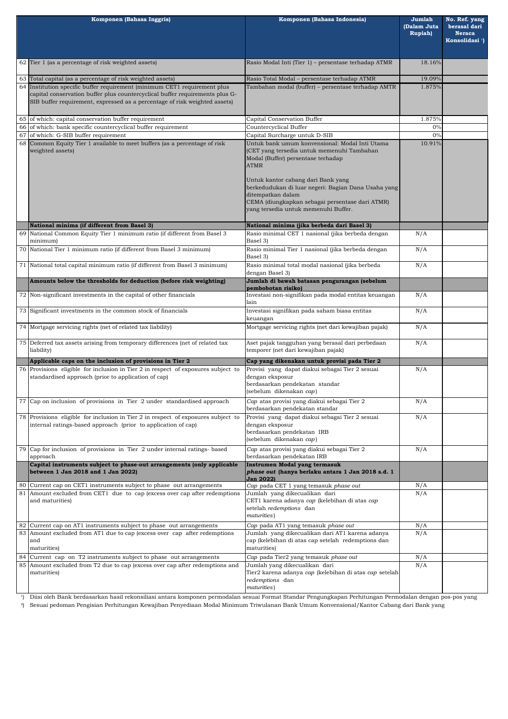| Komponen (Bahasa Inggris)                                                                                                                                                                                                               | Komponen (Bahasa Indonesia)                                                                                                                                                                                                                                                                                  | Jumlah<br>(Dalam Juta<br><b>Rupiah</b> ) | No. Ref. yang<br>berasal dari<br><b>Neraca</b><br>Konsolidasi <sup>1</sup> ) |
|-----------------------------------------------------------------------------------------------------------------------------------------------------------------------------------------------------------------------------------------|--------------------------------------------------------------------------------------------------------------------------------------------------------------------------------------------------------------------------------------------------------------------------------------------------------------|------------------------------------------|------------------------------------------------------------------------------|
| 62 Tier 1 (as a percentage of risk weighted assets)                                                                                                                                                                                     | Rasio Modal Inti (Tier 1) - persentase terhadap ATMR                                                                                                                                                                                                                                                         | 18.16%                                   |                                                                              |
| 63 Total capital (as a percentage of risk weighted assets)                                                                                                                                                                              | Rasio Total Modal - persentase terhadap ATMR                                                                                                                                                                                                                                                                 | 19.09%                                   |                                                                              |
| 64 Institution specific buffer requirement (minimum CET1 requirement plus<br>capital conservation buffer plus countercyclical buffer requirements plus G-<br>SIB buffer requirement, expressed as a percentage of risk weighted assets) | Tambahan modal (buffer) - persentase terhadap AMTR                                                                                                                                                                                                                                                           |                                          |                                                                              |
| 65 of which: capital conservation buffer requirement                                                                                                                                                                                    | Capital Conservation Buffer                                                                                                                                                                                                                                                                                  | 1.875%                                   |                                                                              |
| 66 of which: bank specific countercyclical buffer requirement<br>$67$ of which: G-SIB buffer requirement                                                                                                                                | Countercyclical Buffer<br>Capital Surcharge untuk D-SIB                                                                                                                                                                                                                                                      | 0%<br>0%                                 |                                                                              |
| 68 Common Equity Tier 1 available to meet buffers (as a percentage of risk                                                                                                                                                              | Untuk bank umum konvensional: Modal Inti Utama                                                                                                                                                                                                                                                               | 10.91%                                   |                                                                              |
| weighted assets)                                                                                                                                                                                                                        | (CET yang tersedia untuk memenuhi Tambahan<br>Modal (Buffer) persentase terhadap<br><b>ATMR</b><br>Untuk kantor cabang dari Bank yang<br>berkedudukan di luar negeri: Bagian Dana Usaha yang<br>ditempatkan dalam<br>CEMA (diungkapkan sebagai persentase dari ATMR)<br>yang tersedia untuk memenuhi Buffer. |                                          |                                                                              |
| National minima (if different from Basel 3)                                                                                                                                                                                             | National minima (jika berbeda dari Basel 3)                                                                                                                                                                                                                                                                  |                                          |                                                                              |
| 69 National Common Equity Tier 1 minimum ratio (if different from Basel 3<br>minimum)                                                                                                                                                   | Rasio minimal CET 1 nasional (jika berbeda dengan<br>Basel 3)                                                                                                                                                                                                                                                | N/A                                      |                                                                              |
| 70 National Tier 1 minimum ratio (if different from Basel 3 minimum)                                                                                                                                                                    | Rasio minimal Tier 1 nasional (jika berbeda dengan<br>Basel 3)                                                                                                                                                                                                                                               | N/A                                      |                                                                              |
| 71 National total capital minimum ratio (if different from Basel 3 minimum)                                                                                                                                                             | Rasio minimal total modal nasional (jika berbeda<br>dengan Basel 3)                                                                                                                                                                                                                                          | N/A                                      |                                                                              |
| Amounts below the thresholds for deduction (before risk weighting)                                                                                                                                                                      | Jumlah di bawah batasan pengurangan (sebelum<br>pembobotan risiko)                                                                                                                                                                                                                                           |                                          |                                                                              |
| 72 Non-significant investments in the capital of other financials                                                                                                                                                                       | Investasi non-signifikan pada modal entitas keuangan<br>lain                                                                                                                                                                                                                                                 | N/A                                      |                                                                              |
| 73 Significant investments in the common stock of financials                                                                                                                                                                            | Investasi signifikan pada saham biasa entitas<br>keuangan                                                                                                                                                                                                                                                    | N/A                                      |                                                                              |
| 74 Mortgage servicing rights (net of related tax liability)                                                                                                                                                                             | Mortgage servicing rights (net dari kewajiban pajak)                                                                                                                                                                                                                                                         | N/A                                      |                                                                              |
| 75 Deferred tax assets arising from temporary differences (net of related tax<br>liability)                                                                                                                                             | Aset pajak tangguhan yang berasal dari perbedaan<br>temporer (net dari kewajiban pajak)                                                                                                                                                                                                                      | N/A                                      |                                                                              |
| Applicable caps on the inclusion of provisions in Tier 2                                                                                                                                                                                | Cap yang dikenakan untuk provisi pada Tier 2                                                                                                                                                                                                                                                                 |                                          |                                                                              |
| 76 Provisions eligible for inclusion in Tier 2 in respect of exposures subject to<br>standardised approach (prior to application of cap)                                                                                                | Provisi yang dapat diakui sebagai Tier 2 sesuai<br>dengan eksposur<br>berdasarkan pendekatan standar<br>(sebelum dikenakan cap)                                                                                                                                                                              |                                          |                                                                              |
| 77 Cap on inclusion of provisions in Tier 2 under standardised approach                                                                                                                                                                 | Cap atas provisi yang diakui sebagai Tier 2<br>berdasarkan pendekatan standar                                                                                                                                                                                                                                | N/A                                      |                                                                              |
| 78 Provisions eligible for inclusion in Tier 2 in respect of exposures subject to<br>internal ratings-based approach (prior to application of cap)                                                                                      | Provisi yang dapat diakui sebagai Tier 2 sesuai<br>dengan eksposur<br>berdasarkan pendekatan IRB<br>(sebelum dikenakan cap)                                                                                                                                                                                  | N/A                                      |                                                                              |
| 79 Cap for inclusion of provisions in Tier 2 under internal ratings-based<br>approach                                                                                                                                                   | Cap atas provisi yang diakui sebagai Tier 2<br>berdasarkan pendekatan IRB                                                                                                                                                                                                                                    | N/A                                      |                                                                              |
| Capital instruments subject to phase-out arrangements (only applicable<br>between 1 Jan 2018 and 1 Jan 2022)                                                                                                                            | Instrumen Modal yang termasuk<br>phase out (hanya berlaku antara 1 Jan 2018 s.d. 1<br><b>Jan 2022)</b>                                                                                                                                                                                                       |                                          |                                                                              |
| 80 Current cap on CET1 instruments subject to phase out arrangements                                                                                                                                                                    | Cap pada CET 1 yang temasuk phase out                                                                                                                                                                                                                                                                        | N/A                                      |                                                                              |
| 81 Amount excluded from CET1 due to cap (excess over cap after redemptions<br>and maturities)                                                                                                                                           | Jumlah yang dikecualikan dari<br>CET1 karena adanya cap (kelebihan di atas cap<br>setelah redemptions dan<br>maturities)                                                                                                                                                                                     | N/A                                      |                                                                              |
| 82 Current cap on AT1 instruments subject to phase out arrangements                                                                                                                                                                     | Cap pada AT1 yang temasuk phase out                                                                                                                                                                                                                                                                          | N/A                                      |                                                                              |
| 83 Amount excluded from AT1 due to cap (excess over cap after redemptions<br>and<br>maturities)                                                                                                                                         | Jumlah yang dikecualikan dari AT1 karena adanya<br>cap (kelebihan di atas cap setelah redemptions dan<br>maturities)                                                                                                                                                                                         | N/A                                      |                                                                              |
| 84 Current cap on T2 instruments subject to phase out arrangements                                                                                                                                                                      | Cap pada Tier2 yang temasuk phase out                                                                                                                                                                                                                                                                        | N/A                                      |                                                                              |
| 85 Amount excluded from T2 due to cap (excess over cap after redemptions and<br>maturities)                                                                                                                                             | Jumlah yang dikecualikan dari<br>Tier2 karena adanya <i>cap</i> (kelebihan di atas <i>cap</i> setelah<br>redemptions dan<br>maturities)                                                                                                                                                                      | N/A                                      |                                                                              |

') Diisi oleh Bank berdasarkan hasil rekonsiliasi antara komponen permodalan sesuai Format Standar Pengungkapan Perhitungan Permodalan dengan pos-pos yang

<sup>2</sup>) Sesuai pedoman Pengisian Perhitungan Kewajiban Penyediaan Modal Minimum Triwulanan Bank Umum Konvensional/Kantor Cabang dari Bank yang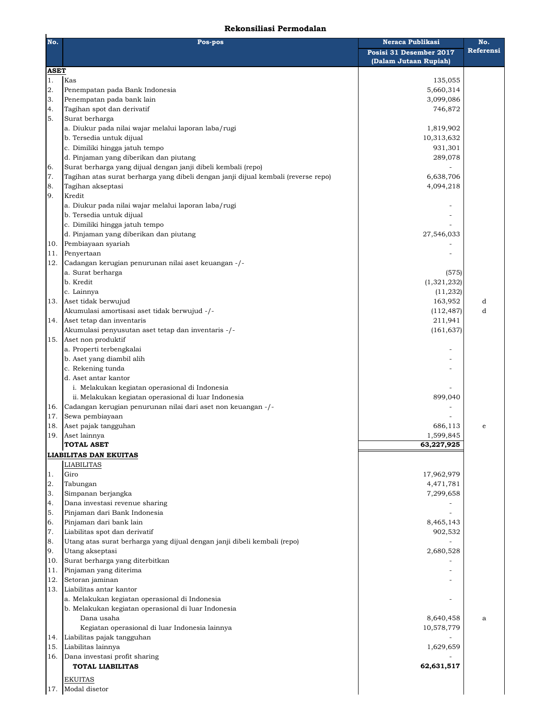## **Rekonsiliasi Permodalan**

| No.               | Pos-pos                                                                                                 | Neraca Publikasi<br>Posisi 31 Desember 2017<br>(Dalam Jutaan Rupiah) | No.<br>Referensi |
|-------------------|---------------------------------------------------------------------------------------------------------|----------------------------------------------------------------------|------------------|
| <b>ASET</b><br>1. | Kas                                                                                                     | 135,055                                                              |                  |
| 2.                | Penempatan pada Bank Indonesia                                                                          | 5,660,314                                                            |                  |
| 3.                | Penempatan pada bank lain                                                                               | 3,099,086                                                            |                  |
| 4.                | Tagihan spot dan derivatif                                                                              | 746,872                                                              |                  |
| 5.                | Surat berharga                                                                                          |                                                                      |                  |
|                   | a. Diukur pada nilai wajar melalui laporan laba/rugi                                                    | 1,819,902                                                            |                  |
|                   | b. Tersedia untuk dijual                                                                                | 10,313,632                                                           |                  |
|                   | c. Dimiliki hingga jatuh tempo                                                                          | 931,301                                                              |                  |
|                   | d. Pinjaman yang diberikan dan piutang<br>Surat berharga yang dijual dengan janji dibeli kembali (repo) | 289,078                                                              |                  |
| 16.<br>7.         | Tagihan atas surat berharga yang dibeli dengan janji dijual kembali (reverse repo)                      | 6,638,706                                                            |                  |
| 18.               | Tagihan akseptasi                                                                                       | 4,094,218                                                            |                  |
| 19.               | Kredit                                                                                                  |                                                                      |                  |
|                   | a. Diukur pada nilai wajar melalui laporan laba/rugi                                                    |                                                                      |                  |
|                   | b. Tersedia untuk dijual                                                                                |                                                                      |                  |
|                   | c. Dimiliki hingga jatuh tempo                                                                          |                                                                      |                  |
|                   | d. Pinjaman yang diberikan dan piutang                                                                  | 27,546,033                                                           |                  |
| 10.               | Pembiayaan syariah                                                                                      |                                                                      |                  |
| 11.               | Penyertaan                                                                                              |                                                                      |                  |
| 12.               | Cadangan kerugian penurunan nilai aset keuangan -/-<br>a. Surat berharga                                | (575)                                                                |                  |
|                   | b. Kredit                                                                                               | (1,321,232)                                                          |                  |
|                   | c. Lainnya                                                                                              | (11, 232)                                                            |                  |
|                   | 13. Aset tidak berwujud                                                                                 | 163,952                                                              | d                |
|                   | Akumulasi amortisasi aset tidak berwujud -/-                                                            | (112, 487)                                                           | d                |
|                   | 14. Aset tetap dan inventaris                                                                           | 211,941                                                              |                  |
|                   | Akumulasi penyusutan aset tetap dan inventaris -/-                                                      | (161, 637)                                                           |                  |
|                   | 15. Aset non produktif                                                                                  |                                                                      |                  |
|                   | a. Properti terbengkalai                                                                                |                                                                      |                  |
|                   | b. Aset yang diambil alih                                                                               |                                                                      |                  |
|                   | c. Rekening tunda<br>d. Aset antar kantor                                                               |                                                                      |                  |
|                   | i. Melakukan kegiatan operasional di Indonesia                                                          |                                                                      |                  |
|                   | ii. Melakukan kegiatan operasional di luar Indonesia                                                    | 899,040                                                              |                  |
| 16.               | Cadangan kerugian penurunan nilai dari aset non keuangan -/-                                            |                                                                      |                  |
| 17.               | Sewa pembiayaan                                                                                         |                                                                      |                  |
| 18.               | Aset pajak tangguhan                                                                                    | 686,113                                                              |                  |
| 19.               | Aset lainnya                                                                                            | 1,599,845                                                            |                  |
|                   | <b>TOTAL ASET</b>                                                                                       | 63,227,925                                                           |                  |
|                   | LIABILITAS DAN EKUITAS                                                                                  |                                                                      |                  |
|                   | <b>LIABILITAS</b>                                                                                       |                                                                      |                  |
| 1.                | Giro                                                                                                    | 17,962,979                                                           |                  |
| 2.<br>3.          | Tabungan<br>Simpanan berjangka                                                                          | 4,471,781<br>7,299,658                                               |                  |
| 4.                | Dana investasi revenue sharing                                                                          |                                                                      |                  |
| 5.                | Pinjaman dari Bank Indonesia                                                                            |                                                                      |                  |
| 16.               | Pinjaman dari bank lain                                                                                 | 8,465,143                                                            |                  |
| 7.                | Liabilitas spot dan derivatif                                                                           | 902,532                                                              |                  |
| 8.                | Utang atas surat berharga yang dijual dengan janji dibeli kembali (repo)                                |                                                                      |                  |
| 9.                | Utang akseptasi                                                                                         | 2,680,528                                                            |                  |
| 10.               | Surat berharga yang diterbitkan                                                                         |                                                                      |                  |
| 11.               | Pinjaman yang diterima                                                                                  |                                                                      |                  |
| 12.               | Setoran jaminan<br>Liabilitas antar kantor                                                              |                                                                      |                  |
| 13.               | a. Melakukan kegiatan operasional di Indonesia                                                          |                                                                      |                  |
|                   | b. Melakukan kegiatan operasional di luar Indonesia                                                     |                                                                      |                  |
|                   | Dana usaha                                                                                              | 8,640,458                                                            | a                |
|                   | Kegiatan operasional di luar Indonesia lainnya                                                          | 10,578,779                                                           |                  |
| 14.               | Liabilitas pajak tangguhan                                                                              |                                                                      |                  |
| 15.               | Liabilitas lainnya                                                                                      | 1,629,659                                                            |                  |
| 16.               | Dana investasi profit sharing                                                                           |                                                                      |                  |
|                   | <b>TOTAL LIABILITAS</b>                                                                                 | 62,631,517                                                           |                  |
|                   | <b>EKUITAS</b>                                                                                          |                                                                      |                  |
| <sup>17.</sup>    | Modal disetor                                                                                           |                                                                      |                  |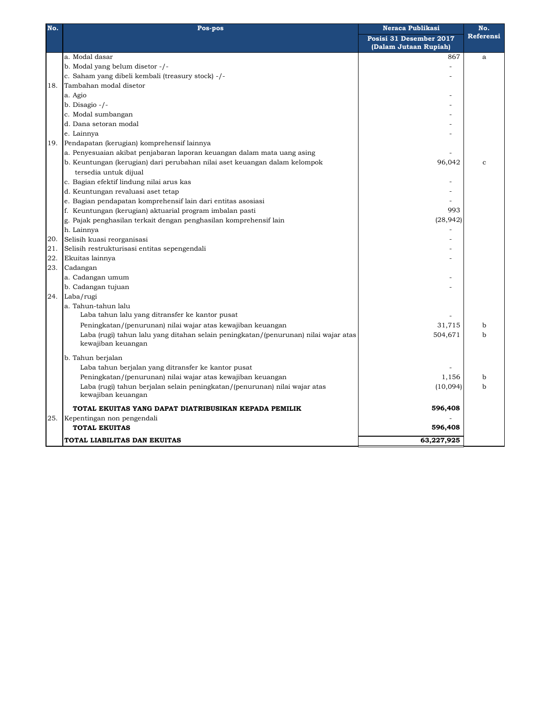| No. | <b>Neraca Publikasi</b><br>Pos-pos                                                  |                         | No.         |
|-----|-------------------------------------------------------------------------------------|-------------------------|-------------|
|     |                                                                                     | Posisi 31 Desember 2017 | Referensi   |
|     |                                                                                     | (Dalam Jutaan Rupiah)   |             |
|     | a. Modal dasar                                                                      | 867                     | a           |
|     | b. Modal yang belum disetor -/-                                                     |                         |             |
|     | c. Saham yang dibeli kembali (treasury stock) -/-                                   |                         |             |
| 18. | Tambahan modal disetor                                                              |                         |             |
|     | a. Agio                                                                             |                         |             |
|     | $b. Disagio -/$ -                                                                   |                         |             |
|     | c. Modal sumbangan                                                                  |                         |             |
|     | d. Dana setoran modal                                                               |                         |             |
|     | e. Lainnya                                                                          |                         |             |
| 19. | Pendapatan (kerugian) komprehensif lainnya                                          |                         |             |
|     | a. Penyesuaian akibat penjabaran laporan keuangan dalam mata uang asing             |                         |             |
|     | b. Keuntungan (kerugian) dari perubahan nilai aset keuangan dalam kelompok          | 96,042                  | $\mathbf c$ |
|     | tersedia untuk dijual                                                               |                         |             |
|     | c. Bagian efektif lindung nilai arus kas                                            |                         |             |
|     | d. Keuntungan revaluasi aset tetap                                                  |                         |             |
|     | e. Bagian pendapatan komprehensif lain dari entitas asosiasi                        |                         |             |
|     | f. Keuntungan (kerugian) aktuarial program imbalan pasti                            | 993                     |             |
|     | g. Pajak penghasilan terkait dengan penghasilan komprehensif lain                   | (28, 942)               |             |
|     | h. Lainnya                                                                          |                         |             |
| 20. | Selisih kuasi reorganisasi                                                          |                         |             |
| 21. | Selisih restrukturisasi entitas sepengendali                                        |                         |             |
| 22. | Ekuitas lainnya                                                                     |                         |             |
| 23. | Cadangan                                                                            |                         |             |
|     | a. Cadangan umum                                                                    |                         |             |
|     | b. Cadangan tujuan                                                                  |                         |             |
| 24. | Laba/rugi                                                                           |                         |             |
|     | a. Tahun-tahun lalu                                                                 |                         |             |
|     | Laba tahun lalu yang ditransfer ke kantor pusat                                     |                         |             |
|     | Peningkatan/(penurunan) nilai wajar atas kewajiban keuangan                         | 31,715                  | $\mathbf b$ |
|     | Laba (rugi) tahun lalu yang ditahan selain peningkatan/(penurunan) nilai wajar atas | 504,671                 | $\mathbf b$ |
|     | kewajiban keuangan                                                                  |                         |             |
|     | b. Tahun berjalan                                                                   |                         |             |
|     | Laba tahun berjalan yang ditransfer ke kantor pusat                                 |                         |             |
|     | Peningkatan/(penurunan) nilai wajar atas kewajiban keuangan                         | 1,156                   | $\mathbf b$ |
|     | Laba (rugi) tahun berjalan selain peningkatan/(penurunan) nilai wajar atas          | (10,094)                | $\mathbf b$ |
|     | kewajiban keuangan                                                                  |                         |             |
|     | TOTAL EKUITAS YANG DAPAT DIATRIBUSIKAN KEPADA PEMILIK                               | 596,408                 |             |
| 25. | Kepentingan non pengendali                                                          |                         |             |
|     | <b>TOTAL EKUITAS</b>                                                                | 596,408                 |             |
|     | TOTAL LIABILITAS DAN EKUITAS                                                        | 63,227,925              |             |